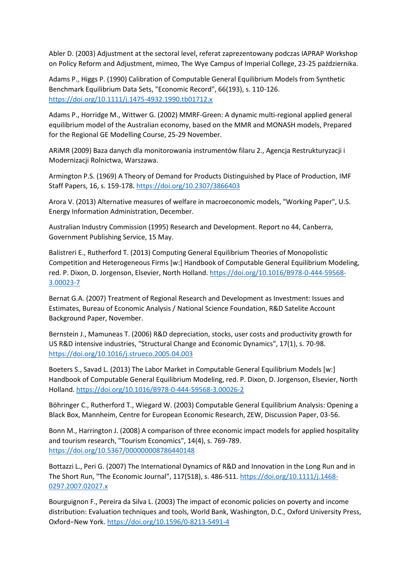Abler D. (2003) Adjustment at the sectoral level, referat zaprezentowany podczas IAPRAP Workshop on Policy Reform and Adjustment, mimeo, The Wye Campus of Imperial College, 23-25 października.

Adams P., Higgs P. (1990) Calibration of Computable General Equilibrium Models from Synthetic Benchmark Equilibrium Data Sets, "Economic Record", 66(193), s. 110-126. <https://doi.org/10.1111/j.1475-4932.1990.tb01712.x>

Adams P., Horridge M., Wittwer G. (2002) MMRF-Green: A dynamic multi-regional applied general equilibrium model of the Australian economy, based on the MMR and MONASH models, Prepared for the Regional GE Modelling Course, 25-29 November.

ARiMR (2009) Baza danych dla monitorowania instrumentów filaru 2., Agencja Restrukturyzacji i Modernizacji Rolnictwa, Warszawa.

Armington P.S. (1969) A Theory of Demand for Products Distinguished by Place of Production, IMF Staff Papers, 16, s. 159-178. <https://doi.org/10.2307/3866403>

Arora V. (2013) Alternative measures of welfare in macroeconomic models, "Working Paper", U.S. Energy Information Administration, December.

Australian Industry Commission (1995) Research and Development. Report no 44, Canberra, Government Publishing Service, 15 May.

Balistreri E., Rutherford T. (2013) Computing General Equilibrium Theories of Monopolistic Competition and Heterogeneous Firms [w:] Handbook of Computable General Equilibrium Modeling, red. P. Dixon, D. Jorgenson, Elsevier, North Holland. [https://doi.org/10.1016/B978-0-444-59568-](https://doi.org/10.1016/B978-0-444-59568-3.00023-7) [3.00023-7](https://doi.org/10.1016/B978-0-444-59568-3.00023-7)

Bernat G.A. (2007) Treatment of Regional Research and Development as Investment: Issues and Estimates, Bureau of Economic Analysis / National Science Foundation, R&D Satelite Account Background Paper, November.

Bernstein J., Mamuneas T. (2006) R&D depreciation, stocks, user costs and productivity growth for US R&D intensive industries, "Structural Change and Economic Dynamics", 17(1), s. 70-98. <https://doi.org/10.1016/j.strueco.2005.04.003>

Boeters S., Savad L. (2013) The Labor Market in Computable General Equilibrium Models [w:] Handbook of Computable General Equilibrium Modeling, red. P. Dixon, D. Jorgenson, Elsevier, North Holland. <https://doi.org/10.1016/B978-0-444-59568-3.00026-2>

Böhringer C., Rutherford T., Wiegard W. (2003) Computable General Equilibrium Analysis: Opening a Black Box, Mannheim, Centre for European Economic Research, ZEW, Discussion Paper, 03-56.

Bonn M., Harrington J. (2008) A comparison of three economic impact models for applied hospitality and tourism research, "Tourism Economics", 14(4), s. 769-789. <https://doi.org/10.5367/000000008786440148>

Bottazzi L., Peri G. (2007) The International Dynamics of R&D and Innovation in the Long Run and in The Short Run, "The Economic Journal", 117(518), s. 486-511. [https://doi.org/10.1111/j.1468-](https://doi.org/10.1111/j.1468-0297.2007.02027.x) [0297.2007.02027.x](https://doi.org/10.1111/j.1468-0297.2007.02027.x)

Bourguignon F., Pereira da Silva L. (2003) The impact of economic policies on poverty and income distribution: Evaluation techniques and tools, World Bank, Washington, D.C., Oxford University Press, Oxford−New York. <https://doi.org/10.1596/0-8213-5491-4>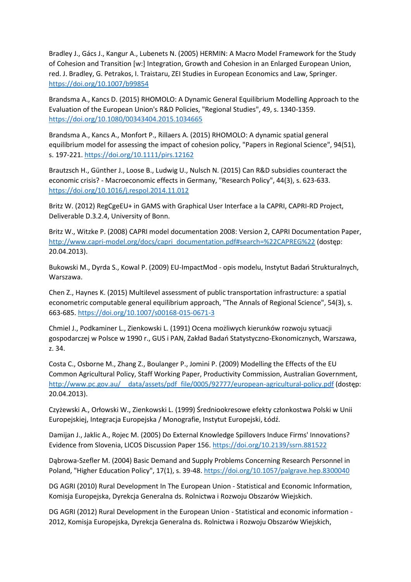Bradley J., Gács J., Kangur A., Lubenets N. (2005) HERMIN: A Macro Model Framework for the Study of Cohesion and Transition [w:] Integration, Growth and Cohesion in an Enlarged European Union, red. J. Bradley, G. Petrakos, I. Traistaru, ZEI Studies in European Economics and Law, Springer. <https://doi.org/10.1007/b99854>

Brandsma A., Kancs D. (2015) RHOMOLO: A Dynamic General Equilibrium Modelling Approach to the Evaluation of the European Union's R&D Policies, "Regional Studies", 49, s. 1340-1359. <https://doi.org/10.1080/00343404.2015.1034665>

Brandsma A., Kancs A., Monfort P., Rillaers A. (2015) RHOMOLO: A dynamic spatial general equilibrium model for assessing the impact of cohesion policy, "Papers in Regional Science", 94(51), s. 197-221. <https://doi.org/10.1111/pirs.12162>

Brautzsch H., Günther J., Loose B., Ludwig U., Nulsch N. (2015) Can R&D subsidies counteract the economic crisis? - Macroeconomic effects in Germany, "Research Policy", 44(3), s. 623-633. <https://doi.org/10.1016/j.respol.2014.11.012>

Britz W. (2012) RegCgeEU+ in GAMS with Graphical User Interface a la CAPRI, CAPRI-RD Project, Deliverable D.3.2.4, University of Bonn.

Britz W., Witzke P. (2008) CAPRI model documentation 2008: Version 2, CAPRI Documentation Paper, [http://www.capri-model.org/docs/capri\\_documentation.pdf#search=%22CAPREG%22](http://www.capri-model.org/docs/capri_documentation.pdf#search=%22CAPREG%22) (dostęp: 20.04.2013).

Bukowski M., Dyrda S., Kowal P. (2009) EU-ImpactMod - opis modelu, Instytut Badań Strukturalnych, Warszawa.

Chen Z., Haynes K. (2015) Multilevel assessment of public transportation infrastructure: a spatial econometric computable general equilibrium approach, "The Annals of Regional Science", 54(3), s. 663-685. <https://doi.org/10.1007/s00168-015-0671-3>

Chmiel J., Podkaminer L., Zienkowski L. (1991) Ocena możliwych kierunków rozwoju sytuacji gospodarczej w Polsce w 1990 r., GUS i PAN, Zakład Badań Statystyczno-Ekonomicznych, Warszawa, z. 34.

Costa C., Osborne M., Zhang Z., Boulanger P., Jomini P. (2009) Modelling the Effects of the EU Common Agricultural Policy, Staff Working Paper, Productivity Commission, Australian Government, [http://www.pc.gov.au/\\_\\_data/assets/pdf\\_file/0005/92777/european-agricultural-policy.pdf](http://www.pc.gov.au/__data/assets/pdf_file/0005/92777/european-agricultural-policy.pdf) (dostęp: 20.04.2013).

Czyżewski A., Orłowski W., Zienkowski L. (1999) Średniookresowe efekty członkostwa Polski w Unii Europejskiej, Integracja Europejska / Monografie, Instytut Europejski, Łódź.

Damijan J., Jaklic A., Rojec M. (2005) Do External Knowledge Spillovers Induce Firms' Innovations? Evidence from Slovenia, LICOS Discussion Paper 156. <https://doi.org/10.2139/ssrn.881522>

Dąbrowa-Szefler M. (2004) Basic Demand and Supply Problems Concerning Research Personnel in Poland, "Higher Education Policy", 17(1), s. 39-48. <https://doi.org/10.1057/palgrave.hep.8300040>

DG AGRI (2010) Rural Development In The European Union - Statistical and Economic Information, Komisja Europejska, Dyrekcja Generalna ds. Rolnictwa i Rozwoju Obszarów Wiejskich.

DG AGRI (2012) Rural Development in the European Union - Statistical and economic information - 2012, Komisja Europejska, Dyrekcja Generalna ds. Rolnictwa i Rozwoju Obszarów Wiejskich,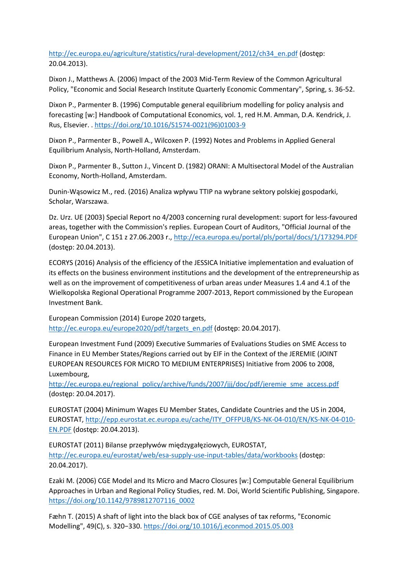[http://ec.europa.eu/agriculture/statistics/rural-development/2012/ch34\\_en.pdf](http://ec.europa.eu/agriculture/statistics/rural-development/2012/ch34_en.pdf) (dostęp: 20.04.2013).

Dixon J., Matthews A. (2006) Impact of the 2003 Mid-Term Review of the Common Agricultural Policy, "Economic and Social Research Institute Quarterly Economic Commentary", Spring, s. 36-52.

Dixon P., Parmenter B. (1996) Computable general equilibrium modelling for policy analysis and forecasting [w:] Handbook of Computational Economics, vol. 1, red H.M. Amman, D.A. Kendrick, J. Rus, Elsevier. . [https://doi.org/10.1016/S1574-0021\(96\)01003-9](https://doi.org/10.1016/S1574-0021(96)01003-9)

Dixon P., Parmenter B., Powell A., Wilcoxen P. (1992) Notes and Problems in Applied General Equilibrium Analysis, North-Holland, Amsterdam.

Dixon P., Parmenter B., Sutton J., Vincent D. (1982) ORANI: A Multisectoral Model of the Australian Economy, North-Holland, Amsterdam.

Dunin-Wąsowicz M., red. (2016) Analiza wpływu TTIP na wybrane sektory polskiej gospodarki, Scholar, Warszawa.

Dz. Urz. UE (2003) Special Report no 4/2003 concerning rural development: suport for less-favoured areas, together with the Commission's replies. European Court of Auditors, "Official Journal of the European Union", C 151 z 27.06.2003 r.,<http://eca.europa.eu/portal/pls/portal/docs/1/173294.PDF> (dostęp: 20.04.2013).

ECORYS (2016) Analysis of the efficiency of the JESSICA Initiative implementation and evaluation of its effects on the business environment institutions and the development of the entrepreneurship as well as on the improvement of competitiveness of urban areas under Measures 1.4 and 4.1 of the Wielkopolska Regional Operational Programme 2007-2013, Report commissioned by the European Investment Bank.

European Commission (2014) Europe 2020 targets, [http://ec.europa.eu/europe2020/pdf/targets\\_en.pdf](http://ec.europa.eu/europe2020/pdf/targets_en.pdf) (dostęp: 20.04.2017).

European Investment Fund (2009) Executive Summaries of Evaluations Studies on SME Access to Finance in EU Member States/Regions carried out by EIF in the Context of the JEREMIE (JOINT EUROPEAN RESOURCES FOR MICRO TO MEDIUM ENTERPRISES) Initiative from 2006 to 2008, Luxembourg,

[http://ec.europa.eu/regional\\_policy/archive/funds/2007/jjj/doc/pdf/jeremie\\_sme\\_access.pdf](http://ec.europa.eu/regional_policy/archive/funds/2007/jjj/doc/pdf/jeremie_sme_access.pdf) (dostęp: 20.04.2017).

EUROSTAT (2004) Minimum Wages EU Member States, Candidate Countries and the US in 2004, EUROSTAT, [http://epp.eurostat.ec.europa.eu/cache/ITY\\_OFFPUB/KS-NK-04-010/EN/KS-NK-04-010-](http://epp.eurostat.ec.europa.eu/cache/ITY_OFFPUB/KS-NK-04-010/EN/KS-NK-04-010-EN.PDF) [EN.PDF](http://epp.eurostat.ec.europa.eu/cache/ITY_OFFPUB/KS-NK-04-010/EN/KS-NK-04-010-EN.PDF) (dostęp: 20.04.2013).

EUROSTAT (2011) Bilanse przepływów międzygałęziowych, EUROSTAT, <http://ec.europa.eu/eurostat/web/esa-supply-use-input-tables/data/workbooks> (dostęp: 20.04.2017).

Ezaki M. (2006) CGE Model and Its Micro and Macro Closures [w:] Computable General Equilibrium Approaches in Urban and Regional Policy Studies, red. M. Doi, World Scientific Publishing, Singapore. [https://doi.org/10.1142/9789812707116\\_0002](https://doi.org/10.1142/9789812707116_0002)

Fæhn T. (2015) A shaft of light into the black box of CGE analyses of tax reforms, "Economic Modelling", 49(C), s. 320−330. <https://doi.org/10.1016/j.econmod.2015.05.003>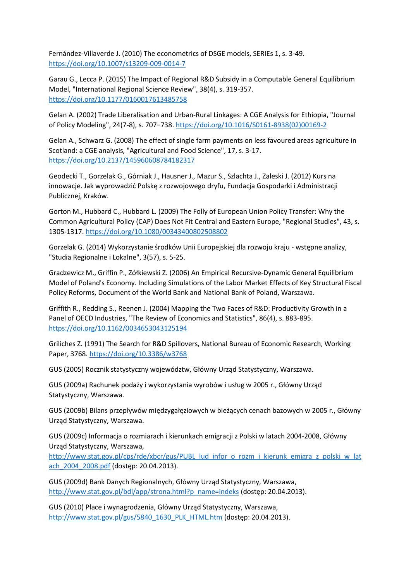Fernández-Villaverde J. (2010) The econometrics of DSGE models, SERIEs 1, s. 3-49. <https://doi.org/10.1007/s13209-009-0014-7>

Garau G., Lecca P. (2015) The Impact of Regional R&D Subsidy in a Computable General Equilibrium Model, "International Regional Science Review", 38(4), s. 319-357. <https://doi.org/10.1177/0160017613485758>

Gelan A. (2002) Trade Liberalisation and Urban-Rural Linkages: A CGE Analysis for Ethiopia, "Journal of Policy Modeling", 24(7-8), s. 707−738. [https://doi.org/10.1016/S0161-8938\(02\)00169-2](https://doi.org/10.1016/S0161-8938(02)00169-2)

Gelan A., Schwarz G. (2008) The effect of single farm payments on less favoured areas agriculture in Scotland: a CGE analysis, "Agricultural and Food Science", 17, s. 3-17. <https://doi.org/10.2137/145960608784182317>

Geodecki T., Gorzelak G., Górniak J., Hausner J., Mazur S., Szlachta J., Zaleski J. (2012) Kurs na innowacje. Jak wyprowadzić Polskę z rozwojowego dryfu, Fundacja Gospodarki i Administracji Publicznej, Kraków.

Gorton M., Hubbard C., Hubbard L. (2009) The Folly of European Union Policy Transfer: Why the Common Agricultural Policy (CAP) Does Not Fit Central and Eastern Europe, "Regional Studies", 43, s. 1305-1317. <https://doi.org/10.1080/00343400802508802>

Gorzelak G. (2014) Wykorzystanie środków Unii Europejskiej dla rozwoju kraju - wstępne analizy, "Studia Regionalne i Lokalne", 3(57), s. 5-25.

Gradzewicz M., Griffin P., Zółkiewski Z. (2006) An Empirical Recursive-Dynamic General Equilibrium Model of Poland's Economy. Including Simulations of the Labor Market Effects of Key Structural Fiscal Policy Reforms, Document of the World Bank and National Bank of Poland, Warszawa.

Griffith R., Redding S., Reenen J. (2004) Mapping the Two Faces of R&D: Productivity Growth in a Panel of OECD Industries, "The Review of Economics and Statistics", 86(4), s. 883-895. <https://doi.org/10.1162/0034653043125194>

Griliches Z. (1991) The Search for R&D Spillovers, National Bureau of Economic Research, Working Paper, 3768. <https://doi.org/10.3386/w3768>

GUS (2005) Rocznik statystyczny województw, Główny Urząd Statystyczny, Warszawa.

GUS (2009a) Rachunek podaży i wykorzystania wyrobów i usług w 2005 r., Główny Urząd Statystyczny, Warszawa.

GUS (2009b) Bilans przepływów międzygałęziowych w bieżących cenach bazowych w 2005 r., Główny Urząd Statystyczny, Warszawa.

GUS (2009c) Informacja o rozmiarach i kierunkach emigracji z Polski w latach 2004-2008, Główny Urząd Statystyczny, Warszawa,

[http://www.stat.gov.pl/cps/rde/xbcr/gus/PUBL\\_lud\\_infor\\_o\\_rozm\\_i\\_kierunk\\_emigra\\_z\\_polski\\_w\\_lat](http://www.stat.gov.pl/cps/rde/xbcr/gus/PUBL_lud_infor_o_rozm_i_kierunk_emigra_z_polski_w_latach_2004_2008.pdf) [ach\\_2004\\_2008.pdf](http://www.stat.gov.pl/cps/rde/xbcr/gus/PUBL_lud_infor_o_rozm_i_kierunk_emigra_z_polski_w_latach_2004_2008.pdf) (dostęp: 20.04.2013).

GUS (2009d) Bank Danych Regionalnych, Główny Urząd Statystyczny, Warszawa, [http://www.stat.gov.pl/bdl/app/strona.html?p\\_name=indeks](http://www.stat.gov.pl/bdl/app/strona.html?p_name=indeks) (dostęp: 20.04.2013).

GUS (2010) Płace i wynagrodzenia, Główny Urząd Statystyczny, Warszawa, [http://www.stat.gov.pl/gus/5840\\_1630\\_PLK\\_HTML.htm](http://www.stat.gov.pl/gus/5840_1630_PLK_HTML.htm) (dostęp: 20.04.2013).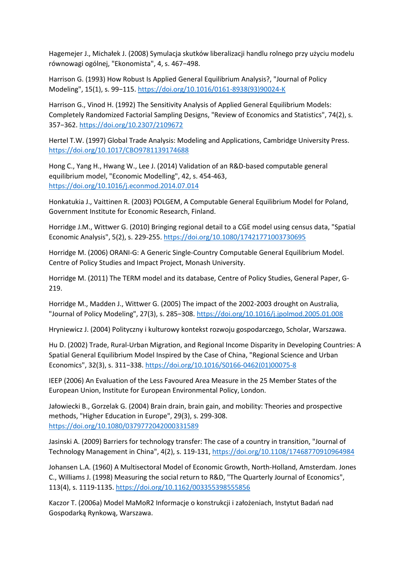Hagemejer J., Michałek J. (2008) Symulacja skutków liberalizacji handlu rolnego przy użyciu modelu równowagi ogólnej, "Ekonomista", 4, s. 467−498.

Harrison G. (1993) How Robust Is Applied General Equilibrium Analysis?, "Journal of Policy Modeling", 15(1), s. 99−115. [https://doi.org/10.1016/0161-8938\(93\)90024-K](https://doi.org/10.1016/0161-8938(93)90024-K)

Harrison G., Vinod H. (1992) The Sensitivity Analysis of Applied General Equilibrium Models: Completely Randomized Factorial Sampling Designs, "Review of Economics and Statistics", 74(2), s. 357−362. <https://doi.org/10.2307/2109672>

Hertel T.W. (1997) Global Trade Analysis: Modeling and Applications, Cambridge University Press. <https://doi.org/10.1017/CBO9781139174688>

Hong C., Yang H., Hwang W., Lee J. (2014) Validation of an R&D-based computable general equilibrium model, "Economic Modelling", 42, s. 454-463, <https://doi.org/10.1016/j.econmod.2014.07.014>

Honkatukia J., Vaittinen R. (2003) POLGEM, A Computable General Equilibrium Model for Poland, Government Institute for Economic Research, Finland.

Horridge J.M., Wittwer G. (2010) Bringing regional detail to a CGE model using census data, "Spatial Economic Analysis", 5(2), s. 229-255. <https://doi.org/10.1080/17421771003730695>

Horridge M. (2006) ORANI-G: A Generic Single-Country Computable General Equilibrium Model. Centre of Policy Studies and Impact Project, Monash University.

Horridge M. (2011) The TERM model and its database, Centre of Policy Studies, General Paper, G-219.

Horridge M., Madden J., Wittwer G. (2005) The impact of the 2002-2003 drought on Australia, "Journal of Policy Modeling", 27(3), s. 285−308. <https://doi.org/10.1016/j.jpolmod.2005.01.008>

Hryniewicz J. (2004) Polityczny i kulturowy kontekst rozwoju gospodarczego, Scholar, Warszawa.

Hu D. (2002) Trade, Rural-Urban Migration, and Regional Income Disparity in Developing Countries: A Spatial General Equilibrium Model Inspired by the Case of China, "Regional Science and Urban Economics", 32(3), s. 311−338. [https://doi.org/10.1016/S0166-0462\(01\)00075-8](https://doi.org/10.1016/S0166-0462(01)00075-8)

IEEP (2006) An Evaluation of the Less Favoured Area Measure in the 25 Member States of the European Union, Institute for European Environmental Policy, London.

Jałowiecki B., Gorzelak G. (2004) Brain drain, brain gain, and mobility: Theories and prospective methods, "Higher Education in Europe", 29(3), s. 299-308. <https://doi.org/10.1080/0379772042000331589>

Jasinski A. (2009) Barriers for technology transfer: The case of a country in transition, "Journal of Technology Management in China", 4(2), s. 119-131, <https://doi.org/10.1108/17468770910964984>

Johansen L.A. (1960) A Multisectoral Model of Economic Growth, North-Holland, Amsterdam. Jones C., Williams J. (1998) Measuring the social return to R&D, "The Quarterly Journal of Economics", 113(4), s. 1119-1135. <https://doi.org/10.1162/003355398555856>

Kaczor T. (2006a) Model MaMoR2 Informacje o konstrukcji i założeniach, Instytut Badań nad Gospodarką Rynkową, Warszawa.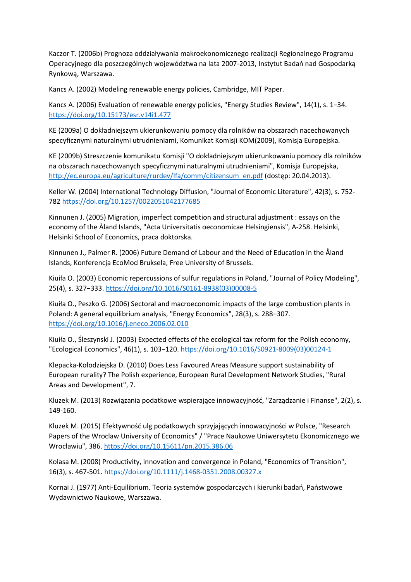Kaczor T. (2006b) Prognoza oddziaływania makroekonomicznego realizacji Regionalnego Programu Operacyjnego dla poszczególnych województwa na lata 2007-2013, Instytut Badań nad Gospodarką Rynkową, Warszawa.

Kancs A. (2002) Modeling renewable energy policies, Cambridge, MIT Paper.

Kancs A. (2006) Evaluation of renewable energy policies, "Energy Studies Review", 14(1), s. 1−34. <https://doi.org/10.15173/esr.v14i1.477>

KE (2009a) O dokładniejszym ukierunkowaniu pomocy dla rolników na obszarach nacechowanych specyficznymi naturalnymi utrudnieniami, Komunikat Komisji KOM(2009), Komisja Europejska.

KE (2009b) Streszczenie komunikatu Komisji "O dokładniejszym ukierunkowaniu pomocy dla rolników na obszarach nacechowanych specyficznymi naturalnymi utrudnieniami", Komisja Europejska, [http://ec.europa.eu/agriculture/rurdev/lfa/comm/citizensum\\_en.pdf](http://ec.europa.eu/agriculture/rurdev/lfa/comm/citizensum_en.pdf) (dostęp: 20.04.2013).

Keller W. (2004) International Technology Diffusion, "Journal of Economic Literature", 42(3), s. 752- 782 <https://doi.org/10.1257/0022051042177685>

Kinnunen J. (2005) Migration, imperfect competition and structural adjustment : essays on the economy of the Åland Islands, "Acta Universitatis oeconomicae Helsingiensis", A-258. Helsinki, Helsinki School of Economics, praca doktorska.

Kinnunen J., Palmer R. (2006) Future Demand of Labour and the Need of Education in the Åland Islands, Konferencja EcoMod Bruksela, Free University of Brussels.

Kiuiła O. (2003) Economic repercussions of sulfur regulations in Poland, "Journal of Policy Modeling", 25(4), s. 327−333. [https://doi.org/10.1016/S0161-8938\(03\)00008-5](https://doi.org/10.1016/S0161-8938(03)00008-5)

Kiuiła O., Peszko G. (2006) Sectoral and macroeconomic impacts of the large combustion plants in Poland: A general equilibrium analysis, "Energy Economics", 28(3), s. 288−307. <https://doi.org/10.1016/j.eneco.2006.02.010>

Kiuiła O., Śleszynski J. (2003) Expected effects of the ecological tax reform for the Polish economy, "Ecological Economics", 46(1), s. 103−120. [https://doi.org/10.1016/S0921-8009\(03\)00124-1](https://doi.org/10.1016/S0921-8009(03)00124-1)

Klepacka-Kołodziejska D. (2010) Does Less Favoured Areas Measure support sustainability of European rurality? The Polish experience, European Rural Development Network Studies, "Rural Areas and Development", 7.

Kluzek M. (2013) Rozwiązania podatkowe wspierające innowacyjność, "Zarządzanie i Finanse", 2(2), s. 149-160.

Kluzek M. (2015) Efektywność ulg podatkowych sprzyjających innowacyjności w Polsce, "Research Papers of the Wroclaw University of Economics" / "Prace Naukowe Uniwersytetu Ekonomicznego we Wrocławiu", 386. <https://doi.org/10.15611/pn.2015.386.06>

Kolasa M. (2008) Productivity, innovation and convergence in Poland, "Economics of Transition", 16(3), s. 467-501. <https://doi.org/10.1111/j.1468-0351.2008.00327.x>

Kornai J. (1977) Anti-Equilibrium. Teoria systemów gospodarczych i kierunki badań, Państwowe Wydawnictwo Naukowe, Warszawa.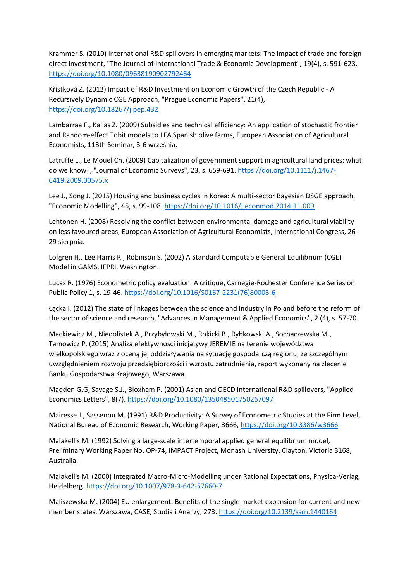Krammer S. (2010) International R&D spillovers in emerging markets: The impact of trade and foreign direct investment, "The Journal of International Trade & Economic Development", 19(4), s. 591-623. <https://doi.org/10.1080/09638190902792464>

Křístková Z. (2012) Impact of R&D Investment on Economic Growth of the Czech Republic - A Recursively Dynamic CGE Approach, "Prague Economic Papers", 21(4), <https://doi.org/10.18267/j.pep.432>

Lambarraa F., Kallas Z. (2009) Subsidies and technical efficiency: An application of stochastic frontier and Random-effect Tobit models to LFA Spanish olive farms, European Association of Agricultural Economists, 113th Seminar, 3-6 września.

Latruffe L., Le Mouel Ch. (2009) Capitalization of government support in agricultural land prices: what do we know?, "Journal of Economic Surveys", 23, s. 659-691. [https://doi.org/10.1111/j.1467-](https://doi.org/10.1111/j.1467-6419.2009.00575.x) [6419.2009.00575.x](https://doi.org/10.1111/j.1467-6419.2009.00575.x)

Lee J., Song J. (2015) Housing and business cycles in Korea: A multi-sector Bayesian DSGE approach, "Economic Modelling", 45, s. 99-108. <https://doi.org/10.1016/j.econmod.2014.11.009>

Lehtonen H. (2008) Resolving the conflict between environmental damage and agricultural viability on less favoured areas, European Association of Agricultural Economists, International Congress, 26- 29 sierpnia.

Lofgren H., Lee Harris R., Robinson S. (2002) A Standard Computable General Equilibrium (CGE) Model in GAMS, IFPRI, Washington.

Lucas R. (1976) Econometric policy evaluation: A critique, Carnegie-Rochester Conference Series on Public Policy 1, s. 19-46. [https://doi.org/10.1016/S0167-2231\(76\)80003-6](https://doi.org/10.1016/S0167-2231(76)80003-6)

Łącka I. (2012) The state of linkages between the science and industry in Poland before the reform of the sector of science and research, "Advances in Management & Applied Economics", 2 (4), s. 57-70.

Mackiewicz M., Niedolistek A., Przybyłowski M., Rokicki B., Rybkowski A., Sochaczewska M., Tamowicz P. (2015) Analiza efektywności inicjatywy JEREMIE na terenie województwa wielkopolskiego wraz z oceną jej oddziaływania na sytuację gospodarczą regionu, ze szczególnym uwzględnieniem rozwoju przedsiębiorczości i wzrostu zatrudnienia, raport wykonany na zlecenie Banku Gospodarstwa Krajowego, Warszawa.

Madden G.G, Savage S.J., Bloxham P. (2001) Asian and OECD international R&D spillovers, "Applied Economics Letters", 8(7). <https://doi.org/10.1080/135048501750267097>

Mairesse J., Sassenou M. (1991) R&D Productivity: A Survey of Econometric Studies at the Firm Level, National Bureau of Economic Research, Working Paper, 3666, <https://doi.org/10.3386/w3666>

Malakellis M. (1992) Solving a large-scale intertemporal applied general equilibrium model, Preliminary Working Paper No. OP-74, IMPACT Project, Monash University, Clayton, Victoria 3168, Australia.

Malakellis M. (2000) Integrated Macro-Micro-Modelling under Rational Expectations, Physica-Verlag, Heidelberg. <https://doi.org/10.1007/978-3-642-57660-7>

Maliszewska M. (2004) EU enlargement: Benefits of the single market expansion for current and new member states, Warszawa, CASE, Studia i Analizy, 273. <https://doi.org/10.2139/ssrn.1440164>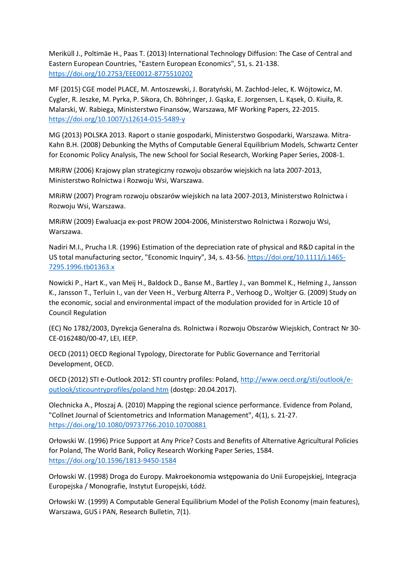Meriküll J., Poltimäe H., Paas T. (2013) International Technology Diffusion: The Case of Central and Eastern European Countries, "Eastern European Economics", 51, s. 21-138. <https://doi.org/10.2753/EEE0012-8775510202>

MF (2015) CGE model PLACE, M. Antoszewski, J. Boratyński, M. Zachłod-Jelec, K. Wójtowicz, M. Cygler, R. Jeszke, M. Pyrka, P. Sikora, Ch. Böhringer, J. Gąska, E. Jorgensen, L. Kąsek, O. Kiuiła, R. Malarski, W. Rabiega, Ministerstwo Finansów, Warszawa, MF Working Papers, 22-2015. <https://doi.org/10.1007/s12614-015-5489-y>

MG (2013) POLSKA 2013. Raport o stanie gospodarki, Ministerstwo Gospodarki, Warszawa. Mitra-Kahn B.H. (2008) Debunking the Myths of Computable General Equilibrium Models, Schwartz Center for Economic Policy Analysis, The new School for Social Research, Working Paper Series, 2008-1.

MRiRW (2006) Krajowy plan strategiczny rozwoju obszarów wiejskich na lata 2007-2013, Ministerstwo Rolnictwa i Rozwoju Wsi, Warszawa.

MRiRW (2007) Program rozwoju obszarów wiejskich na lata 2007-2013, Ministerstwo Rolnictwa i Rozwoju Wsi, Warszawa.

MRiRW (2009) Ewaluacja ex-post PROW 2004-2006, Ministerstwo Rolnictwa i Rozwoju Wsi, Warszawa.

Nadiri M.I., Prucha I.R. (1996) Estimation of the depreciation rate of physical and R&D capital in the US total manufacturing sector, "Economic Inquiry", 34, s. 43-56. [https://doi.org/10.1111/j.1465-](https://doi.org/10.1111/j.1465-7295.1996.tb01363.x) [7295.1996.tb01363.x](https://doi.org/10.1111/j.1465-7295.1996.tb01363.x)

Nowicki P., Hart K., van Meij H., Baldock D., Banse M., Bartley J., van Bommel K., Helming J., Jansson K., Jansson T., Terluin I., van der Veen H., Verburg Alterra P., Verhoog D., Woltjer G. (2009) Study on the economic, social and environmental impact of the modulation provided for in Article 10 of Council Regulation

(EC) No 1782/2003, Dyrekcja Generalna ds. Rolnictwa i Rozwoju Obszarów Wiejskich, Contract Nr 30- CE-0162480/00-47, LEI, IEEP.

OECD (2011) OECD Regional Typology, Directorate for Public Governance and Territorial Development, OECD.

OECD (2012) STI e-Outlook 2012: STI country profiles: Poland[, http://www.oecd.org/sti/outlook/e](http://www.oecd.org/sti/outlook/e-outlook/sticountryprofiles/poland.htm)[outlook/sticountryprofiles/poland.htm](http://www.oecd.org/sti/outlook/e-outlook/sticountryprofiles/poland.htm) (dostęp: 20.04.2017).

Olechnicka A., Płoszaj A. (2010) Mapping the regional science performance. Evidence from Poland, "Collnet Journal of Scientometrics and Information Management", 4(1), s. 21-27. <https://doi.org/10.1080/09737766.2010.10700881>

Orłowski W. (1996) Price Support at Any Price? Costs and Benefits of Alternative Agricultural Policies for Poland, The World Bank, Policy Research Working Paper Series, 1584. <https://doi.org/10.1596/1813-9450-1584>

Orłowski W. (1998) Droga do Europy. Makroekonomia wstępowania do Unii Europejskiej, Integracja Europejska / Monografie, Instytut Europejski, Łódź.

Orłowski W. (1999) A Computable General Equilibrium Model of the Polish Economy (main features), Warszawa, GUS i PAN, Research Bulletin, 7(1).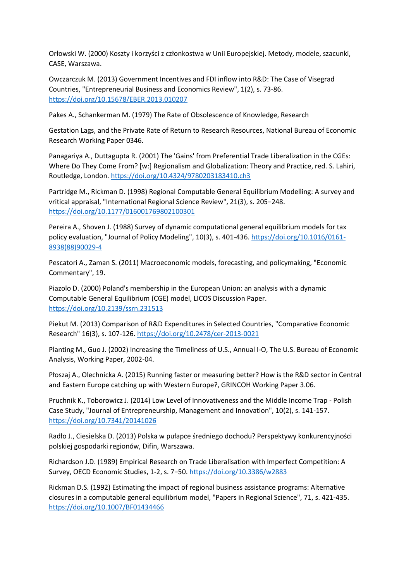Orłowski W. (2000) Koszty i korzyści z członkostwa w Unii Europejskiej. Metody, modele, szacunki, CASE, Warszawa.

Owczarczuk M. (2013) Government Incentives and FDI inflow into R&D: The Case of Visegrad Countries, "Entrepreneurial Business and Economics Review", 1(2), s. 73-86. <https://doi.org/10.15678/EBER.2013.010207>

Pakes A., Schankerman M. (1979) The Rate of Obsolescence of Knowledge, Research

Gestation Lags, and the Private Rate of Return to Research Resources, National Bureau of Economic Research Working Paper 0346.

Panagariya A., Duttagupta R. (2001) The 'Gains' from Preferential Trade Liberalization in the CGEs: Where Do They Come From? [w:] Regionalism and Globalization: Theory and Practice, red. S. Lahiri, Routledge, London. <https://doi.org/10.4324/9780203183410.ch3>

Partridge M., Rickman D. (1998) Regional Computable General Equilibrium Modelling: A survey and vritical appraisal, "International Regional Science Review", 21(3), s. 205−248. <https://doi.org/10.1177/016001769802100301>

Pereira A., Shoven J. (1988) Survey of dynamic computational general equilibrium models for tax policy evaluation, "Journal of Policy Modeling", 10(3), s. 401-436. [https://doi.org/10.1016/0161-](https://doi.org/10.1016/0161-8938(88)90029-4) [8938\(88\)90029-4](https://doi.org/10.1016/0161-8938(88)90029-4)

Pescatori A., Zaman S. (2011) Macroeconomic models, forecasting, and policymaking, "Economic Commentary", 19.

Piazolo D. (2000) Poland's membership in the European Union: an analysis with a dynamic Computable General Equilibrium (CGE) model, LICOS Discussion Paper. <https://doi.org/10.2139/ssrn.231513>

Piekut M. (2013) Comparison of R&D Expenditures in Selected Countries, "Comparative Economic Research" 16(3), s. 107-126. <https://doi.org/10.2478/cer-2013-0021>

Planting M., Guo J. (2002) Increasing the Timeliness of U.S., Annual I-O, The U.S. Bureau of Economic Analysis, Working Paper, 2002-04.

Płoszaj A., Olechnicka A. (2015) Running faster or measuring better? How is the R&D sector in Central and Eastern Europe catching up with Western Europe?, GRINCOH Working Paper 3.06.

Pruchnik K., Toborowicz J. (2014) Low Level of Innovativeness and the Middle Income Trap - Polish Case Study, "Journal of Entrepreneurship, Management and Innovation", 10(2), s. 141-157. <https://doi.org/10.7341/20141026>

Radło J., Ciesielska D. (2013) Polska w pułapce średniego dochodu? Perspektywy konkurencyjności polskiej gospodarki regionów, Difin, Warszawa.

Richardson J.D. (1989) Empirical Research on Trade Liberalisation with Imperfect Competition: A Survey, OECD Economic Studies, 1-2, s. 7−50. <https://doi.org/10.3386/w2883>

Rickman D.S. (1992) Estimating the impact of regional business assistance programs: Alternative closures in a computable general equilibrium model, "Papers in Regional Science", 71, s. 421-435. <https://doi.org/10.1007/BF01434466>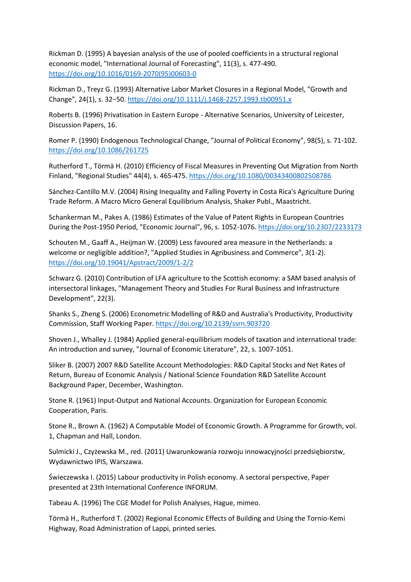Rickman D. (1995) A bayesian analysis of the use of pooled coefficients in a structural regional economic model, "International Journal of Forecasting", 11(3), s. 477-490. [https://doi.org/10.1016/0169-2070\(95\)00603-0](https://doi.org/10.1016/0169-2070(95)00603-0)

Rickman D., Treyz G. (1993) Alternative Labor Market Closures in a Regional Model, "Growth and Change", 24(1), s. 32−50. <https://doi.org/10.1111/j.1468-2257.1993.tb00951.x>

Roberts B. (1996) Privatisation in Eastern Europe - Alternative Scenarios, University of Leicester, Discussion Papers, 16.

Romer P. (1990) Endogenous Technological Change, "Journal of Political Economy", 98(5), s. 71-102. <https://doi.org/10.1086/261725>

Rutherford T., Törmä H. (2010) Efficiency of Fiscal Measures in Preventing Out Migration from North Finland, "Regional Studies" 44(4), s. 465-475. <https://doi.org/10.1080/00343400802508786>

Sánchez-Cantillo M.V. (2004) Rising Inequality and Falling Poverty in Costa Rica's Agriculture During Trade Reform. A Macro Micro General Equilibrium Analysis, Shaker Publ., Maastricht.

Schankerman M., Pakes A. (1986) Estimates of the Value of Patent Rights in European Countries During the Post-1950 Period, "Economic Journal", 96, s. 1052-1076. <https://doi.org/10.2307/2233173>

Schouten M., Gaaff A., Heijman W. (2009) Less favoured area measure in the Netherlands: a welcome or negligible addition?, "Applied Studies in Agribusiness and Commerce", 3(1-2). <https://doi.org/10.19041/Apstract/2009/1-2/2>

Schwarz G. (2010) Contribution of LFA agriculture to the Scottish economy: a SAM based analysis of intersectoral linkages, "Management Theory and Studies For Rural Business and Infrastructure Development", 22(3).

Shanks S., Zheng S. (2006) Econometric Modelling of R&D and Australia's Productivity, Productivity Commission, Staff Working Paper. <https://doi.org/10.2139/ssrn.903720>

Shoven J., Whalley J. (1984) Applied general-equilibrium models of taxation and international trade: An introduction and survey, "Journal of Economic Literature", 22, s. 1007-1051.

Sliker B. (2007) 2007 R&D Satellite Account Methodologies: R&D Capital Stocks and Net Rates of Return, Bureau of Economic Analysis / National Science Foundation R&D Satellite Account Background Paper, December, Washington.

Stone R. (1961) Input-Output and National Accounts. Organization for European Economic Cooperation, Paris.

Stone R., Brown A. (1962) A Computable Model of Economic Growth. A Programme for Growth, vol. 1, Chapman and Hall, London.

Sulmicki J., Czyżewska M., red. (2011) Uwarunkowania rozwoju innowacyjności przedsiębiorstw, Wydawnictwo IPIS, Warszawa.

Świeczewska I. (2015) Labour productivity in Polish economy. A sectoral perspective, Paper presented at 23th International Conference INFORUM.

Tabeau A. (1996) The CGE Model for Polish Analyses, Hague, mimeo.

Tӧrmä H., Rutherford T. (2002) Regional Economic Effects of Building and Using the Tornio-Kemi Highway, Road Administration of Lappi, printed series.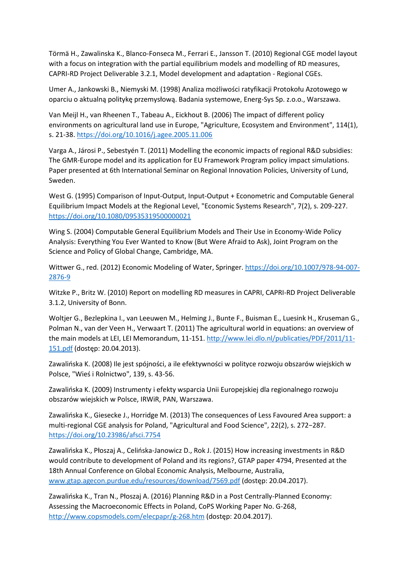Törmä H., Zawalinska K., Blanco-Fonseca M., Ferrari E., Jansson T. (2010) Regional CGE model layout with a focus on integration with the partial equilibrium models and modelling of RD measures, CAPRI-RD Project Deliverable 3.2.1, Model development and adaptation - Regional CGEs.

Umer A., Jankowski B., Niemyski M. (1998) Analiza możliwości ratyfikacji Protokołu Azotowego w oparciu o aktualną politykę przemysłową. Badania systemowe, Energ-Sys Sp. z.o.o., Warszawa.

Van Meijl H., van Rheenen T., Tabeau A., Eickhout B. (2006) The impact of different policy environments on agricultural land use in Europe, "Agriculture, Ecosystem and Environment", 114(1), s. 21-38. <https://doi.org/10.1016/j.agee.2005.11.006>

Varga A., Járosi P., Sebestyén T. (2011) Modelling the economic impacts of regional R&D subsidies: The GMR-Europe model and its application for EU Framework Program policy impact simulations. Paper presented at 6th International Seminar on Regional Innovation Policies, University of Lund, Sweden.

West G. (1995) Comparison of Input-Output, Input-Output + Econometric and Computable General Equilibrium Impact Models at the Regional Level, "Economic Systems Research", 7(2), s. 209-227. <https://doi.org/10.1080/09535319500000021>

Wing S. (2004) Computable General Equilibrium Models and Their Use in Economy-Wide Policy Analysis: Everything You Ever Wanted to Know (But Were Afraid to Ask), Joint Program on the Science and Policy of Global Change, Cambridge, MA.

Wittwer G., red. (2012) Economic Modeling of Water, Springer. [https://doi.org/10.1007/978-94-007-](https://doi.org/10.1007/978-94-007-2876-9) [2876-9](https://doi.org/10.1007/978-94-007-2876-9)

Witzke P., Britz W. (2010) Report on modelling RD measures in CAPRI, CAPRI-RD Project Deliverable 3.1.2, University of Bonn.

Woltjer G., Bezlepkina I., van Leeuwen M., Helming J., Bunte F., Buisman E., Luesink H., Kruseman G., Polman N., van der Veen H., Verwaart T. (2011) The agricultural world in equations: an overview of the main models at LEI, LEI Memorandum, 11-151[. http://www.lei.dlo.nl/publicaties/PDF/2011/11-](http://www.lei.dlo.nl/publicaties/PDF/2011/11-151.pdf) [151.pdf](http://www.lei.dlo.nl/publicaties/PDF/2011/11-151.pdf) (dostęp: 20.04.2013).

Zawalińska K. (2008) Ile jest spójności, a ile efektywności w polityce rozwoju obszarów wiejskich w Polsce, "Wieś i Rolnictwo", 139, s. 43-56.

Zawalińska K. (2009) Instrumenty i efekty wsparcia Unii Europejskiej dla regionalnego rozwoju obszarów wiejskich w Polsce, IRWiR, PAN, Warszawa.

Zawalińska K., Giesecke J., Horridge M. (2013) The consequences of Less Favoured Area support: a multi-regional CGE analysis for Poland, "Agricultural and Food Science", 22(2), s. 272−287. <https://doi.org/10.23986/afsci.7754>

Zawalińska K., Płoszaj A., Celińska-Janowicz D., Rok J. (2015) How increasing investments in R&D would contribute to development of Poland and its regions?, GTAP paper 4794, Presented at the 18th Annual Conference on Global Economic Analysis, Melbourne, Australia, [www.gtap.agecon.purdue.edu/resources/download/7569.pdf](http://www.gtap.agecon.purdue.edu/resources/download/7569.pdf) (dostęp: 20.04.2017).

Zawalińska K., Tran N., Płoszaj A. (2016) Planning R&D in a Post Centrally-Planned Economy: Assessing the Macroeconomic Effects in Poland, CoPS Working Paper No. G-268, <http://www.copsmodels.com/elecpapr/g-268.htm> (dostęp: 20.04.2017).